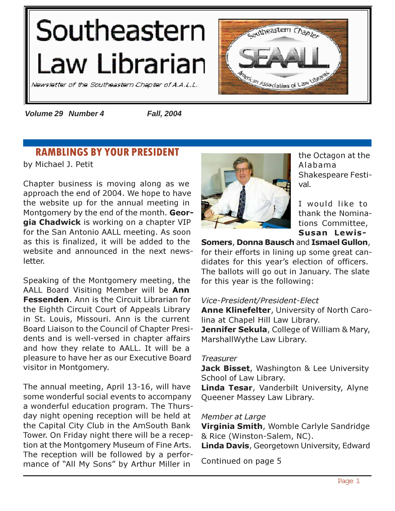# <span id="page-0-0"></span>Southeastern Law Librarian

Newsletter of the Southeastern Chapter of A.A.L.L.



*Volume 29 Number 4 Fall, 2004*

# RAMBLINGS BY YOUR PRESIDENT

by Michael J. Petit

Chapter business is moving along as we approach the end of 2004. We hope to have the website up for the annual meeting in Montgomery by the end of the month. Georgia Chadwick is working on a chapter VIP for the San Antonio AALL meeting. As soon as this is finalized, it will be added to the website and announced in the next newsletter.

Speaking of the Montgomery meeting, the AALL Board Visiting Member will be Ann Fessenden. Ann is the Circuit Librarian for the Eighth Circuit Court of Appeals Library in St. Louis, Missouri. Ann is the current Board Liaison to the Council of Chapter Presidents and is well-versed in chapter affairs and how they relate to AALL. It will be a pleasure to have her as our Executive Board visitor in Montgomery.

The annual meeting, April 13-16, will have some wonderful social events to accompany a wonderful education program. The Thursday night opening reception will be held at the Capital City Club in the AmSouth Bank Tower. On Friday night there will be a reception at the Montgomery Museum of Fine Arts. The reception will be followed by a performance of "All My Sons" by Arthur Miller in



the Octagon at the Alabama Shakespeare Festival.

I would like to thank the Nominations Committee, Susan Lewis-

Somers, Donna Bausch and Ismael Gullon, for their efforts in lining up some great candidates for this year's election of officers. The ballots will go out in January. The slate for this year is the following:

#### Vice-President/President-Elect

Anne Klinefelter, University of North Carolina at Chapel Hill Law Library.

Jennifer Sekula, College of William & Mary, MarshallWythe Law Library.

#### **Treasurer**

Jack Bisset, Washington & Lee University School of Law Library.

Linda Tesar, Vanderbilt University, Alyne Queener Massey Law Library.

#### Member at Large

Virginia Smith, Womble Carlyle Sandridge & Rice (Winston-Salem, NC).

Linda Davis, Georgetown University, Edward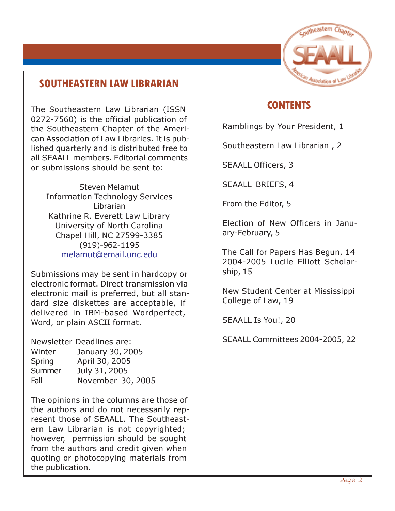

# SOUTHEASTERN LAW LIBRARIAN

The Southeastern Law Librarian (ISSN 0272-7560) is the official publication of the Southeastern Chapter of the American Association of Law Libraries. It is published quarterly and is distributed free to all SEAALL members. Editorial comments or submissions should be sent to:

Steven Melamut Information Technology Services Librarian Kathrine R. Everett Law Library University of North Carolina Chapel Hill, NC 27599-3385 (919)-962-1195 [melamut@email.unc.edu](mailto:melamut@email.unc.edu)

Submissions may be sent in hardcopy or electronic format. Direct transmission via electronic mail is preferred, but all standard size diskettes are acceptable, if delivered in IBM-based Wordperfect, Word, or plain ASCII format.

Newsletter Deadlines are:

| Winter | January 30, 2005  |
|--------|-------------------|
| Spring | April 30, 2005    |
| Summer | July 31, 2005     |
| Fall   | November 30, 2005 |

The opinions in the columns are those of the authors and do not necessarily represent those of SEAALL. The Southeastern Law Librarian is not copyrighted; however, permission should be sought from the authors and credit given when quoting or photocopying materials from the publication.

# **CONTENTS**

[Ramblings by Your President, 1](#page-0-0) 

Southeastern Law Librarian , 2

[SEAALL Officers, 3](#page-2-0) 

[SEAALL BRIEFS, 4](#page-3-0) 

[From the Editor, 5](#page-4-0) 

[Election of New Officers in Janu](#page-4-0)[ary-February, 5](#page-4-0) 

[The Call for Papers Has Begun, 14](#page-13-0)  [2004-2005 Lucile Elliott Scholar](#page-14-0)[ship, 15](#page-14-0) 

[New Student Center at Mississippi](#page-18-0)  [College of Law, 19](#page-18-0) 

[SEAALL Is You!, 20](#page-19-0) 

[SEAALL Committees 2004-2005, 22](#page-21-0)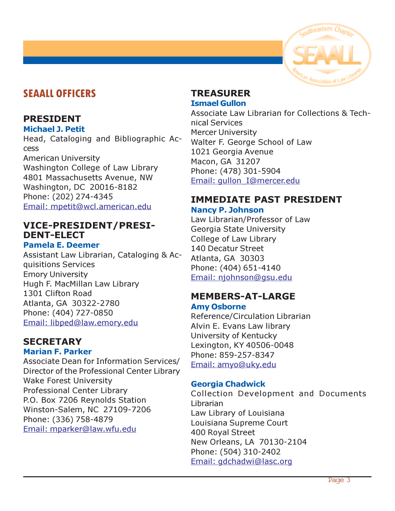

# <span id="page-2-0"></span>SEAALL OFFICERS

# PRESIDENT

#### Michael J. Petit

Head, Cataloging and Bibliographic Access American University Washington College of Law Library 4801 Massachusetts Avenue, NW Washington, DC 20016-8182 Phone: (202) 274-4345

[Email: mpetit@wcl.american.edu](mailto:mpetit@wcl.american.edu) 

# VICE-PRESIDENT/PRESI-DENT-ELECT

#### Pamela E. Deemer

Assistant Law Librarian, Cataloging & Acquisitions Services Emory University Hugh F. MacMillan Law Library 1301 Clifton Road Atlanta, GA 30322-2780 Phone: (404) 727-0850 [Email: libped@law.emory.edu](mailto:libped@law.emory.edu) 

# **SECRETARY**

# Marian F. Parker

Associate Dean for Information Services/ Director of the Professional Center Library Wake Forest University Professional Center Library P.O. Box 7206 Reynolds Station Winston-Salem, NC 27109-7206 Phone: (336) 758-4879 [Email: mparker@law.wfu.edu](mailto:mparker@law.wfu.edu) 

# TREASURER Ismael Gullon

Associate Law Librarian for Collections & Technical Services Mercer University Walter F. George School of Law 1021 Georgia Avenue Macon, GA 31207 Phone: (478) 301-5904 [Email: gullon\\_I@mercer.edu](mailto:gullon_I@mercer.edu) 

# IMMEDIATE PAST PRESIDENT

## Nancy P. Johnson

Law Librarian/Professor of Law Georgia State University College of Law Library 140 Decatur Street Atlanta, GA 30303 Phone: (404) 651-4140 [Email: njohnson@gsu.edu](mailto:njohnson@gsu.edu) 

# MEMBERS-AT-LARGE

#### Amy Osborne

Reference/Circulation Librarian Alvin E. Evans Law library University of Kentucky Lexington, KY 40506-0048 Phone: 859-257-8347 [Email: amyo@uky.edu](mailto:amyo@uky.edu) 

# Georgia Chadwick

Collection Development and Documents Librarian Law Library of Louisiana Louisiana Supreme Court 400 Royal Street New Orleans, LA 70130-2104 Phone: (504) 310-2402 [Email: gdchadwi@lasc.org](mailto:gdchadwi@lasc.org)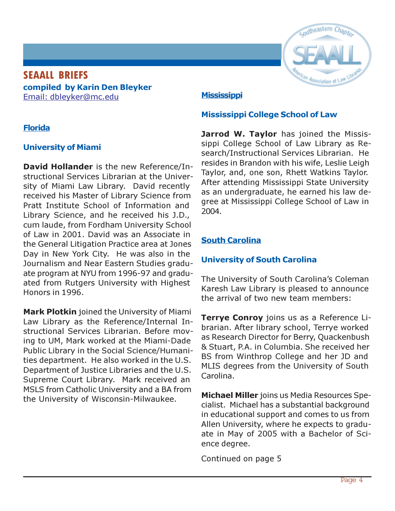# <span id="page-3-0"></span>SEAALL BRIEFS compiled by Karin Den Bleyker [Email: dbleyker@mc.edu](mailto:dbleyker@mc.edu)

# Florida

# University of Miami

David Hollander is the new Reference/Instructional Services Librarian at the University of Miami Law Library. David recently received his Master of Library Science from Pratt Institute School of Information and Library Science, and he received his J.D., cum laude, from Fordham University School of Law in 2001. David was an Associate in the General Litigation Practice area at Jones Day in New York City. He was also in the Journalism and Near Eastern Studies graduate program at NYU from 1996-97 and graduated from Rutgers University with Highest Honors in 1996.

Mark Plotkin joined the University of Miami Law Library as the Reference/Internal Instructional Services Librarian. Before moving to UM, Mark worked at the Miami-Dade Public Library in the Social Science/Humanities department. He also worked in the U.S. Department of Justice Libraries and the U.S. Supreme Court Library. Mark received an MSLS from Catholic University and a BA from the University of Wisconsin-Milwaukee.



# **Mississippi**

# Mississippi College School of Law

Jarrod W. Taylor has joined the Mississippi College School of Law Library as Research/Instructional Services Librarian. He resides in Brandon with his wife, Leslie Leigh Taylor, and, one son, Rhett Watkins Taylor. After attending Mississippi State University as an undergraduate, he earned his law degree at Mississippi College School of Law in 2004.

# South Carolina

# University of South Carolina

The University of South Carolina's Coleman Karesh Law Library is pleased to announce the arrival of two new team members:

Terrye Conroy joins us as a Reference Librarian. After library school, Terrye worked as Research Director for Berry, Quackenbush & Stuart, P.A. in Columbia. She received her BS from Winthrop College and her JD and MLIS degrees from the University of South Carolina.

Michael Miller joins us Media Resources Specialist. Michael has a substantial background in educational support and comes to us from Allen University, where he expects to graduate in May of 2005 with a Bachelor of Science degree.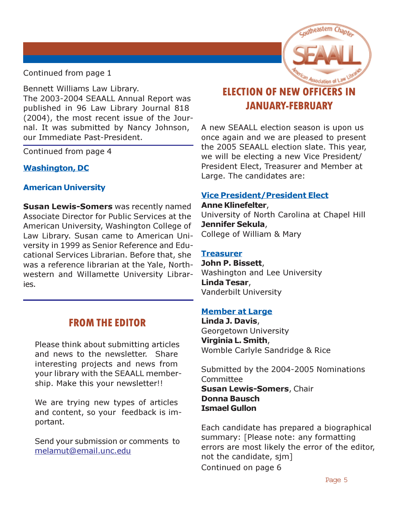

<span id="page-4-0"></span>Continued from page 1

Bennett Williams Law Library. The 2003-2004 SEAALL Annual Report was published in 96 Law Library Journal 818 (2004), the most recent issue of the Journal. It was submitted by Nancy Johnson, our Immediate Past-President.

Continued from page 4

# Washington, DC

# American University

**Susan Lewis-Somers** was recently named Associate Director for Public Services at the American University, Washington College of Law Library. Susan came to American University in 1999 as Senior Reference and Educational Services Librarian. Before that, she was a reference librarian at the Yale, Northwestern and Willamette University Libraries.

# FROM THE EDITOR

Please think about submitting articles and news to the newsletter. Share interesting projects and news from your library with the SEAALL membership. Make this your newsletter!!

We are trying new types of articles and content, so your feedback is important.

Send your submission or comments to [melamut@email.unc.edu](mailto:melamut@email.unc.edu) 

# ELECTION OF NEW OFFICERS IN JANUARY-FEBRUARY

A new SEAALL election season is upon us once again and we are pleased to present the 2005 SEAALL election slate. This year, we will be electing a new Vice President/ President Elect, Treasurer and Member at Large. The candidates are:

# Vice President/President Elect

Anne Klinefelter, University of North Carolina at Chapel Hill Jennifer Sekula, College of William & Mary

## **Treasurer**

John P. Bissett, Washington and Lee University Linda Tesar, Vanderbilt University

# Member at Large

Linda J. Davis, Georgetown University Virginia L. Smith, Womble Carlyle Sandridge & Rice

Submitted by the 2004-2005 Nominations Committee **Susan Lewis-Somers, Chair** Donna Bausch Ismael Gullon

Each candidate has prepared a biographical summary: [Please note: any formatting errors are most likely the error of the editor, not the candidate, sjm] Continued on page 6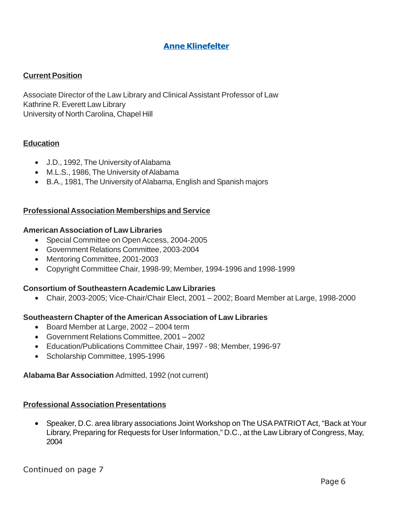## Anne Klinefelter

#### **Current Position**

Associate Director of the Law Library and Clinical Assistant Professor of Law Kathrine R. Everett Law Library University of North Carolina, Chapel Hill

#### **Education**

- J.D., 1992, The University of Alabama
- M.L.S., 1986, The University of Alabama
- B.A., 1981, The University of Alabama, English and Spanish majors

#### **Professional Association Memberships and Service**

#### **American Association of Law Libraries**

- Special Committee on Open Access, 2004-2005
- Government Relations Committee, 2003-2004
- Mentoring Committee, 2001-2003
- Copyright Committee Chair, 1998-99; Member, 1994-1996 and 1998-1999

#### **Consortium of Southeastern Academic Law Libraries**

• Chair, 2003-2005; Vice-Chair/Chair Elect, 2001 – 2002; Board Member at Large, 1998-2000

#### **Southeastern Chapter of the American Association of Law Libraries**

- Board Member at Large, 2002 2004 term
- Government Relations Committee, 2001 2002
- Education/Publications Committee Chair, 1997 98; Member, 1996-97
- Scholarship Committee, 1995-1996

#### **Alabama Bar Association** Admitted, 1992 (not current)

#### **Professional Association Presentations**

• Speaker, D.C. area library associations Joint Workshop on The USA PATRIOT Act, "Back at Your Library, Preparing for Requests for User Information," D.C., at the Law Library of Congress, May, 2004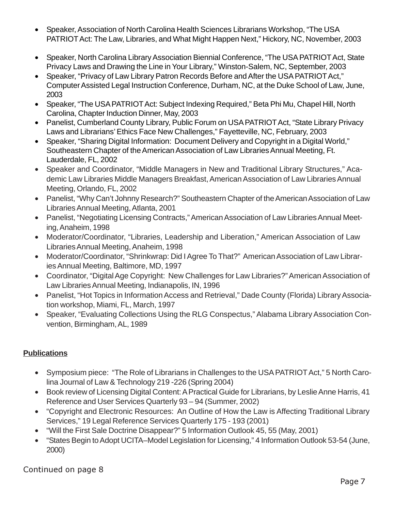- Speaker, Association of North Carolina Health Sciences Librarians Workshop, "The USA PATRIOT Act: The Law, Libraries, and What Might Happen Next," Hickory, NC, November, 2003
- Speaker, North Carolina Library Association Biennial Conference, "The USA PATRIOT Act, State Privacy Laws and Drawing the Line in Your Library," Winston-Salem, NC, September, 2003
- Speaker, "Privacy of Law Library Patron Records Before and After the USA PATRIOT Act," Computer Assisted Legal Instruction Conference, Durham, NC, at the Duke School of Law, June, 2003
- Speaker, "The USA PATRIOT Act: Subject Indexing Required," Beta Phi Mu, Chapel Hill, North Carolina, Chapter Induction Dinner, May, 2003
- Panelist, Cumberland County Library, Public Forum on USA PATRIOT Act, "State Library Privacy Laws and Librarians' Ethics Face New Challenges," Fayetteville, NC, February, 2003
- Speaker, "Sharing Digital Information: Document Delivery and Copyright in a Digital World," Southeastern Chapter of the American Association of Law Libraries Annual Meeting, Ft. Lauderdale, FL, 2002
- Speaker and Coordinator, "Middle Managers in New and Traditional Library Structures," Academic Law Libraries Middle Managers Breakfast, American Association of Law Libraries Annual Meeting, Orlando, FL, 2002
- Panelist, "Why Can't Johnny Research?" Southeastern Chapter of the American Association of Law Libraries Annual Meeting, Atlanta, 2001
- Panelist, "Negotiating Licensing Contracts," American Association of Law Libraries Annual Meeting, Anaheim, 1998
- Moderator/Coordinator, "Libraries, Leadership and Liberation," American Association of Law Libraries Annual Meeting, Anaheim, 1998
- Moderator/Coordinator, "Shrinkwrap: Did I Agree To That?" American Association of Law Libraries Annual Meeting, Baltimore, MD, 1997
- Coordinator, "Digital Age Copyright: New Challenges for Law Libraries?" American Association of Law Libraries Annual Meeting, Indianapolis, IN, 1996
- Panelist, "Hot Topics in Information Access and Retrieval," Dade County (Florida) Library Association workshop, Miami, FL, March, 1997
- Speaker, "Evaluating Collections Using the RLG Conspectus," Alabama Library Association Convention, Birmingham, AL, 1989

# **Publications**

- Symposium piece: "The Role of Librarians in Challenges to the USA PATRIOT Act," 5 North Carolina Journal of Law & Technology 219 -226 (Spring 2004)
- Book review of Licensing Digital Content: A Practical Guide for Librarians, by Leslie Anne Harris, 41 Reference and User Services Quarterly 93 – 94 (Summer, 2002)
- "Copyright and Electronic Resources: An Outline of How the Law is Affecting Traditional Library Services," 19 Legal Reference Services Quarterly 175 - 193 (2001)
- "Will the First Sale Doctrine Disappear?" 5 Information Outlook 45, 55 (May, 2001)
- "States Begin to Adopt UCITA–Model Legislation for Licensing," 4 Information Outlook 53-54 (June, 2000)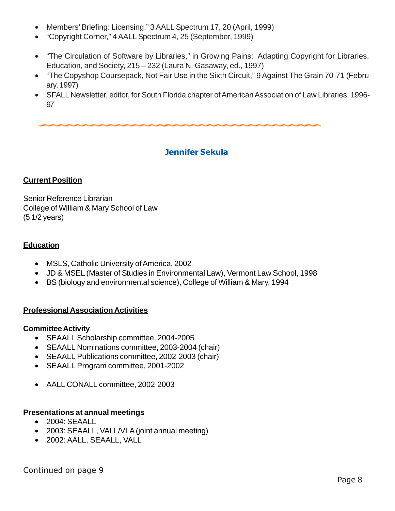- Members' Briefing: Licensing," 3 AALL Spectrum 17, 20 (April, 1999)
- "Copyright Corner," 4 AALL Spectrum 4, 25 (September, 1999)
- "The Circulation of Software by Libraries," in Growing Pains: Adapting Copyright for Libraries, Education, and Society, 215 – 232 (Laura N. Gasaway, ed., 1997)
- "The Copyshop Coursepack, Not Fair Use in the Sixth Circuit," 9 Against The Grain 70-71 (February, 1997)
- SFALL Newsletter, editor, for South Florida chapter of American Association of Law Libraries, 1996- 97

# Jennifer Sekula

#### **Current Position**

Senior Reference Librarian College of William & Mary School of Law (5 1/2 years)

#### **Education**

- MSLS, Catholic University of America, 2002
- JD & MSEL (Master of Studies in Environmental Law), Vermont Law School, 1998
- BS (biology and environmental science), College of William & Mary, 1994

#### **Professional Association Activities**

#### **Committee Activity**

- SEAALL Scholarship committee, 2004-2005
- SEAALL Nominations committee, 2003-2004 (chair)
- SEAALL Publications committee, 2002-2003 (chair)
- SEAALL Program committee, 2001-2002
- AALL CONALL committee, 2002-2003

#### **Presentations at annual meetings**

- 2004: SEAALL
- 2003: SEAALL, VALL/VLA (joint annual meeting)
- 2002: AALL, SEAALL, VALL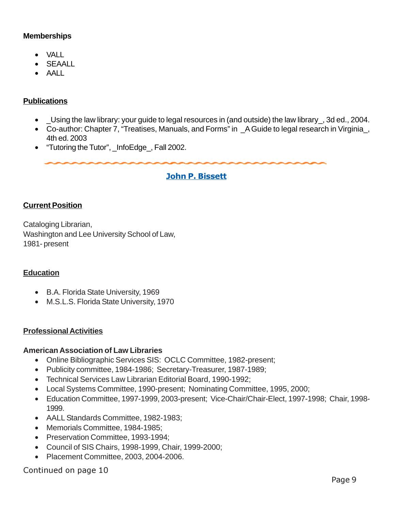#### **Memberships**

- VALL
- SEAALL
- AALL

#### **Publications**

- \_Using the law library: your guide to legal resources in (and outside) the law library\_, 3d ed., 2004.
- Co-author: Chapter 7, "Treatises, Manuals, and Forms" in \_A Guide to legal research in Virginia\_, 4th ed. 2003
- "Tutoring the Tutor", \_InfoEdge\_, Fall 2002.

#### John P. Bissett

#### **Current Position**

Cataloging Librarian, Washington and Lee University School of Law, 1981- present

#### **Education**

- B.A. Florida State University, 1969
- M.S.L.S. Florida State University, 1970

#### **Professional Activities**

#### **American Association of Law Libraries**

- Online Bibliographic Services SIS: OCLC Committee, 1982-present;
- Publicity committee, 1984-1986; Secretary-Treasurer, 1987-1989;
- Technical Services Law Librarian Editorial Board, 1990-1992;
- Local Systems Committee, 1990-present; Nominating Committee, 1995, 2000;
- Education Committee, 1997-1999, 2003-present; Vice-Chair/Chair-Elect, 1997-1998; Chair, 1998- 1999.
- AALL Standards Committee, 1982-1983;
- Memorials Committee, 1984-1985;
- Preservation Committee, 1993-1994;
- Council of SIS Chairs, 1998-1999, Chair, 1999-2000;
- Placement Committee, 2003, 2004-2006.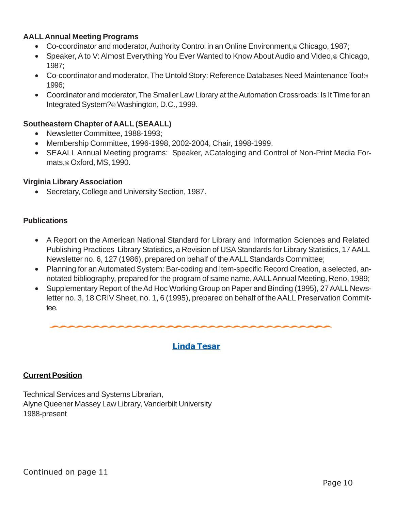#### **AALL Annual Meeting Programs**

- Co-coordinator and moderator, Authority Control in an Online Environment,@ Chicago, 1987;
- Speaker, A to V: Almost Everything You Ever Wanted to Know About Audio and Video,<sup>@</sup> Chicago, 1987;
- Co-coordinator and moderator, The Untold Story: Reference Databases Need Maintenance Too!@ 1996;
- Coordinator and moderator, The Smaller Law Library at the Automation Crossroads: Is It Time for an Integrated System?@ Washington, D.C., 1999.

#### **Southeastern Chapter of AALL (SEAALL)**

- Newsletter Committee, 1988-1993;
- Membership Committee, 1996-1998, 2002-2004, Chair, 1998-1999.
- SEAALL Annual Meeting programs: Speaker, ACataloging and Control of Non-Print Media Formats,@ Oxford, MS, 1990.

#### **Virginia Library Association**

• Secretary, College and University Section, 1987.

#### **Publications**

- A Report on the American National Standard for Library and Information Sciences and Related Publishing Practices Library Statistics, a Revision of USA Standards for Library Statistics, 17 AALL Newsletter no. 6, 127 (1986), prepared on behalf of the AALL Standards Committee;
- Planning for an Automated System: Bar-coding and Item-specific Record Creation, a selected, annotated bibliography, prepared for the program of same name, AALL Annual Meeting, Reno, 1989;
- Supplementary Report of the Ad Hoc Working Group on Paper and Binding (1995), 27 AALL Newsletter no. 3, 18 CRIV Sheet, no. 1, 6 (1995), prepared on behalf of the AALL Preservation Committee.

#### Linda Tesar

#### **Current Position**

Technical Services and Systems Librarian, Alyne Queener Massey Law Library, Vanderbilt University 1988-present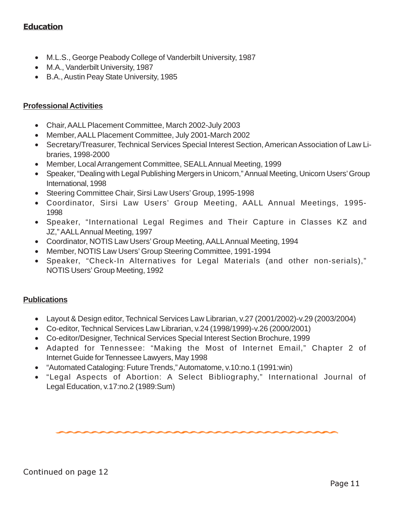## **Education**

- M.L.S., George Peabody College of Vanderbilt University, 1987
- M.A., Vanderbilt University, 1987
- B.A., Austin Peay State University, 1985

#### **Professional Activities**

- Chair, AALL Placement Committee, March 2002-July 2003
- Member, AALL Placement Committee, July 2001-March 2002
- Secretary/Treasurer, Technical Services Special Interest Section, American Association of Law Libraries, 1998-2000
- Member, Local Arrangement Committee, SEALL Annual Meeting, 1999
- Speaker, "Dealing with Legal Publishing Mergers in Unicorn," Annual Meeting, Unicorn Users' Group International, 1998
- Steering Committee Chair, Sirsi Law Users' Group, 1995-1998
- Coordinator, Sirsi Law Users' Group Meeting, AALL Annual Meetings, 1995- 1998
- Speaker, "International Legal Regimes and Their Capture in Classes KZ and JZ," AALL Annual Meeting, 1997
- Coordinator, NOTIS Law Users' Group Meeting, AALL Annual Meeting, 1994
- Member, NOTIS Law Users' Group Steering Committee, 1991-1994
- Speaker, "Check-In Alternatives for Legal Materials (and other non-serials)," NOTIS Users' Group Meeting, 1992

#### **Publications**

- Layout & Design editor, Technical Services Law Librarian, v.27 (2001/2002)-v.29 (2003/2004)
- Co-editor, Technical Services Law Librarian, v.24 (1998/1999)-v.26 (2000/2001)
- Co-editor/Designer, Technical Services Special Interest Section Brochure, 1999
- Adapted for Tennessee: "Making the Most of Internet Email," Chapter 2 of Internet Guide for Tennessee Lawyers, May 1998
- "Automated Cataloging: Future Trends," Automatome, v.10:no.1 (1991:win)
- "Legal Aspects of Abortion: A Select Bibliography," International Journal of Legal Education, v.17:no.2 (1989:Sum)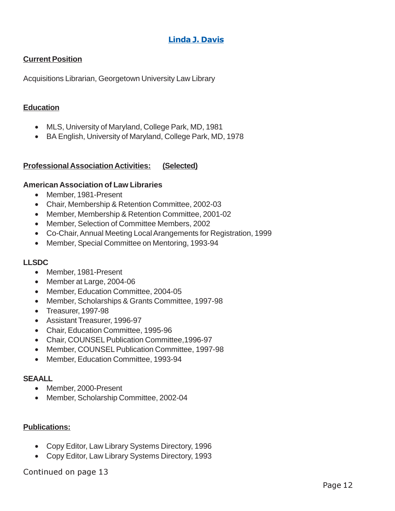# Linda J. Davis

## **Current Position**

Acquisitions Librarian, Georgetown University Law Library

#### **Education**

- MLS, University of Maryland, College Park, MD, 1981
- BA English, University of Maryland, College Park, MD, 1978

#### **Professional Association Activities: (Selected)**

#### **American Association of Law Libraries**

- Member, 1981-Present
- Chair, Membership & Retention Committee, 2002-03
- Member, Membership & Retention Committee, 2001-02
- Member, Selection of Committee Members, 2002
- Co-Chair, Annual Meeting Local Arangements for Registration, 1999
- Member, Special Committee on Mentoring, 1993-94

#### **LLSDC**

- Member, 1981-Present
- Member at Large, 2004-06
- Member, Education Committee, 2004-05
- Member, Scholarships & Grants Committee, 1997-98
- Treasurer, 1997-98
- Assistant Treasurer, 1996-97
- Chair, Education Committee, 1995-96
- Chair, COUNSEL Publication Committee,1996-97
- Member, COUNSEL Publication Committee, 1997-98
- Member, Education Committee, 1993-94

#### **SEAALL**

- Member, 2000-Present
- Member, Scholarship Committee, 2002-04

#### **Publications:**

- Copy Editor, Law Library Systems Directory, 1996
- Copy Editor, Law Library Systems Directory, 1993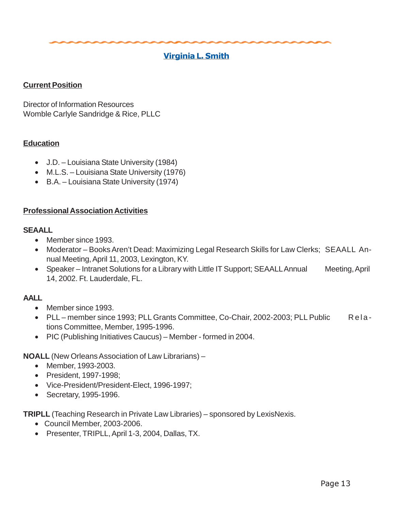## Virginia L. Smith

#### **Current Position**

Director of Information Resources Womble Carlyle Sandridge & Rice, PLLC

#### **Education**

- J.D. Louisiana State University (1984)
- M.L.S. Louisiana State University (1976)
- B.A. Louisiana State University (1974)

#### **Professional Association Activities**

#### **SEAALL**

- Member since 1993.
- Moderator Books Aren't Dead: Maximizing Legal Research Skills for Law Clerks; SEAALL Annual Meeting, April 11, 2003, Lexington, KY.
- Speaker Intranet Solutions for a Library with Little IT Support; SEAALL Annual Meeting, April 14, 2002. Ft. Lauderdale, FL.

#### **AALL**

- Member since 1993.
- PLL member since 1993; PLL Grants Committee, Co-Chair, 2002-2003; PLL Public Relations Committee, Member, 1995-1996.
- PIC (Publishing Initiatives Caucus) Member formed in 2004.

#### **NOALL** (New Orleans Association of Law Librarians) –

- Member, 1993-2003.
- President, 1997-1998;
- Vice-President/President-Elect, 1996-1997;
- Secretary, 1995-1996.

**TRIPLL** (Teaching Research in Private Law Libraries) – sponsored by LexisNexis.

- Council Member, 2003-2006.
- Presenter, TRIPLL, April 1-3, 2004, Dallas, TX.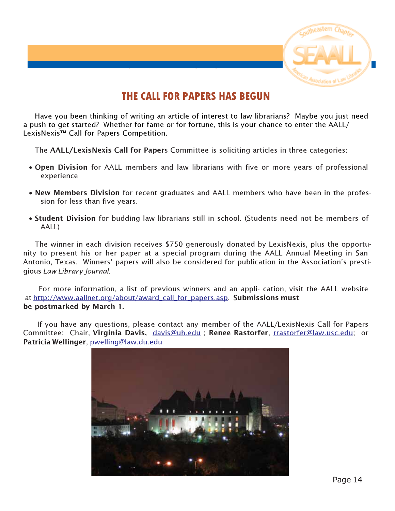

# THE CALL FOR PAPERS HAS BEGUN

SEAALL FINANCIAL STATEMENT

<span id="page-13-0"></span>Have you been thinking of writing an article of interest to law librarians? Maybe you just need a push to get started? Whether for fame or for fortune, this is your chance to enter the AALL/ LexisNexis™ Call for Papers Competition.

The AALL/LexisNexis Call for Papers Committee is soliciting articles in three categories:

- Open Division for AALL members and law librarians with five or more years of professional experience
- New Members Division for recent graduates and AALL members who have been in the profession for less than five years.
- Student Division for budding law librarians still in school. (Students need not be members of AALL)

The winner in each division receives \$750 generously donated by LexisNexis, plus the opportunity to present his or her paper at a special program during the AALL Annual Meeting in San Antonio, Texas. Winners' papers will also be considered for publication in the Association's prestigious Law Library Journal.

 For more information, a list of previous winners and an appli- cation, visit the AALL website at [http://www.aallnet.org/about/award\\_call\\_for\\_papers.asp.](http://www.aallnet.org/about/award_call_for_papers.asp) Submissions must be postmarked by March 1.

 If you have any questions, please contact any member of the AALL/LexisNexis Call for Papers Committee: Chair, Virginia Davis, davis@uh.edu; Renee Rastorfer, [rrastorfer@law.usc.edu;](mailto:rrastorfer@law.usc.edu) or Patricia Wellinger, [pwelling@law.du.edu](mailto:pwelling@law.du.edu)

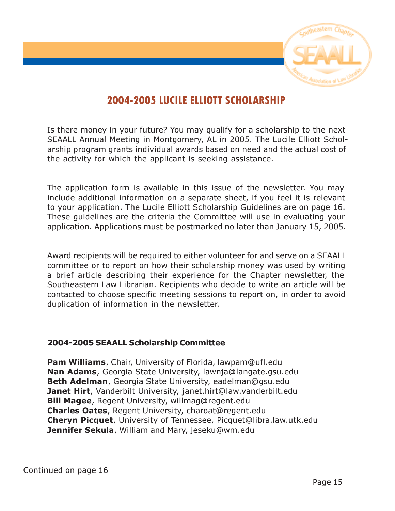

# 2004-2005 LUCILE ELLIOTT SCHOLARSHIP

<span id="page-14-0"></span>Is there money in your future? You may qualify for a scholarship to the next SEAALL Annual Meeting in Montgomery, AL in 2005. The Lucile Elliott Scholarship program grants individual awards based on need and the actual cost of the activity for which the applicant is seeking assistance.

The application form is available in this issue of the newsletter. You may include additional information on a separate sheet, if you feel it is relevant to your application. The Lucile Elliott Scholarship Guidelines are on page 16. These guidelines are the criteria the Committee will use in evaluating your application. Applications must be postmarked no later than January 15, 2005.

Award recipients will be required to either volunteer for and serve on a SEAALL committee or to report on how their scholarship money was used by writing a brief article describing their experience for the Chapter newsletter, the Southeastern Law Librarian. Recipients who decide to write an article will be contacted to choose specific meeting sessions to report on, in order to avoid duplication of information in the newsletter.

# 2004-2005 SEAALL Scholarship Committee

Pam Williams, Chair, University of Florida, lawpam@ufl.edu Nan Adams, Georgia State University, lawnja@langate.gsu.edu Beth Adelman, Georgia State University, eadelman@gsu.edu Janet Hirt, Vanderbilt University, janet.hirt@law.vanderbilt.edu **Bill Magee**, Regent University, willmag@regent.edu Charles Oates, Regent University, charoat@regent.edu Cheryn Picquet, University of Tennessee, Picquet@libra.law.utk.edu Jennifer Sekula, William and Mary, jeseku@wm.edu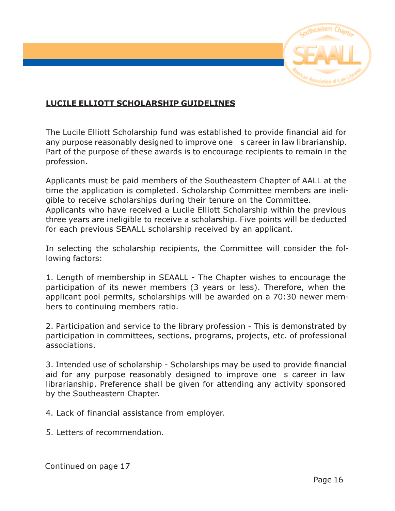

# LUCILE ELLIOTT SCHOLARSHIP GUIDELINES

The Lucile Elliott Scholarship fund was established to provide financial aid for any purpose reasonably designed to improve one s career in law librarianship. Part of the purpose of these awards is to encourage recipients to remain in the profession.

Applicants must be paid members of the Southeastern Chapter of AALL at the time the application is completed. Scholarship Committee members are ineligible to receive scholarships during their tenure on the Committee. Applicants who have received a Lucile Elliott Scholarship within the previous three years are ineligible to receive a scholarship. Five points will be deducted for each previous SEAALL scholarship received by an applicant.

In selecting the scholarship recipients, the Committee will consider the following factors:

1. Length of membership in SEAALL - The Chapter wishes to encourage the participation of its newer members (3 years or less). Therefore, when the applicant pool permits, scholarships will be awarded on a 70:30 newer members to continuing members ratio.

2. Participation and service to the library profession - This is demonstrated by participation in committees, sections, programs, projects, etc. of professional associations.

3. Intended use of scholarship - Scholarships may be used to provide financial aid for any purpose reasonably designed to improve one s career in law librarianship. Preference shall be given for attending any activity sponsored by the Southeastern Chapter.

4. Lack of financial assistance from employer.

5. Letters of recommendation.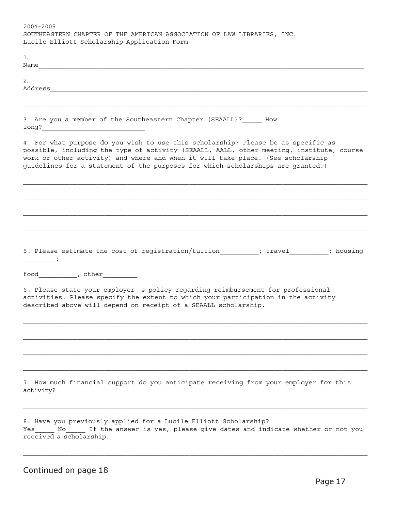2004-2005 SOUTHEASTERN CHAPTER OF THE AMERICAN ASSOCIATION OF LAW LIBRARIES, INC. Lucile Elliott Scholarship Application Form 1.  $N$ ame 2.  $\verb|Address|$ 3. Are you a member of the Southeastern Chapter (SEAALL)? How long?\_\_\_\_\_\_\_\_\_\_\_\_\_\_\_\_\_\_\_\_\_\_\_\_\_\_\_ 4. For what purpose do you wish to use this scholarship? Please be as specific as possible, including the type of activity (SEAALL, AALL, other meeting, institute, course work or other activity) and where and when it will take place. (See scholarship guidelines for a statement of the purposes for which scholarships are granted.) 5. Please estimate the cost of registration/tuition\_\_\_\_\_\_\_\_\_; travel\_\_\_\_\_\_\_\_; housing  $\frac{1}{i}$ food\_\_\_\_\_\_\_\_\_\_; other\_\_\_\_\_\_\_\_\_ 6. Please state your employer s policy regarding reimbursement for professional activities. Please specify the extent to which your participation in the activity described above will depend on receipt of a SEAALL scholarship. 7. How much financial support do you anticipate receiving from your employer for this activity? 8. Have you previously applied for a Lucile Elliott Scholarship? Yes\_\_\_\_\_ No\_\_\_\_\_ If the answer is yes, please give dates and indicate whether or not you

Continued on page 18

received a scholarship.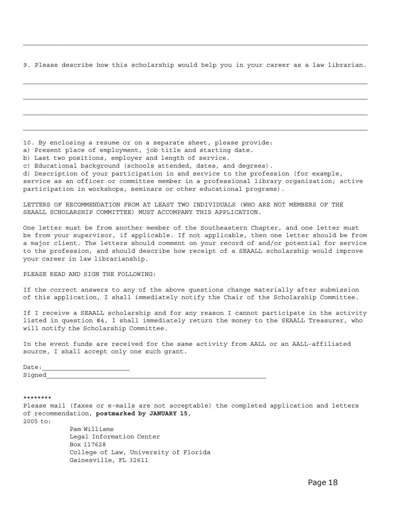9. Please describe how this scholarship would help you in your career as a law librarian.

|  | 10. By enclosing a resume or on a separate sheet, please provide: |  |  |  |  |  |
|--|-------------------------------------------------------------------|--|--|--|--|--|
|  |                                                                   |  |  |  |  |  |

a) Present place of employment, job title and starting date.

b) Last two positions, employer and length of service.

c) Educational background (schools attended, dates, and degrees).

d) Description of your participation in and service to the profession (for example,

service as an officer or committee member in a professional library organization; active participation in workshops, seminars or other educational programs).

LETTERS OF RECOMMENDATION FROM AT LEAST TWO INDIVIDUALS (WHO ARE NOT MEMBERS OF THE SEAALL SCHOLARSHIP COMMITTEE) MUST ACCOMPANY THIS APPLICATION.

One letter must be from another member of the Southeastern Chapter, and one letter must be from your supervisor, if applicable. If not applicable, then one letter should be from a major client. The letters should comment on your record of and/or potential for service to the profession, and should describe how receipt of a SEAALL scholarship would improve your career in law librarianship.

PLEASE READ AND SIGN THE FOLLOWING:

If the correct answers to any of the above questions change materially after submission of this application, I shall immediately notify the Chair of the Scholarship Committee.

If I receive a SEAALL scholarship and for any reason I cannot participate in the activity listed in question #4, I shall immediately return the money to the SEAALL Treasurer, who will notify the Scholarship Committee.

In the event funds are received for the same activity from AALL or an AALL-affiliated source, I shall accept only one such grant.

Date: Signed\_

\*\*\*\*\*\*\*\*

Please mail (faxes or e-mails are not acceptable) the completed application and letters of recommendation, **postmarked by JANUARY 15**,

2005 to:

Pam Williams Legal Information Center Box 117628 College of Law, University of Florida Gainesville, FL 32611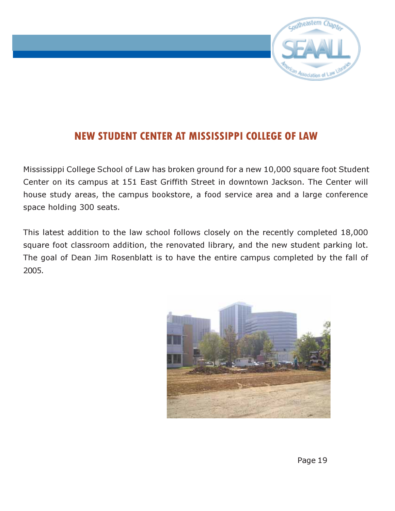

# <span id="page-18-0"></span>NEW STUDENT CENTER AT MISSISSIPPI COLLEGE OF LAW

Mississippi College School of Law has broken ground for a new 10,000 square foot Student Center on its campus at 151 East Griffith Street in downtown Jackson. The Center will house study areas, the campus bookstore, a food service area and a large conference space holding 300 seats.

This latest addition to the law school follows closely on the recently completed 18,000 square foot classroom addition, the renovated library, and the new student parking lot. The goal of Dean Jim Rosenblatt is to have the entire campus completed by the fall of 2005.

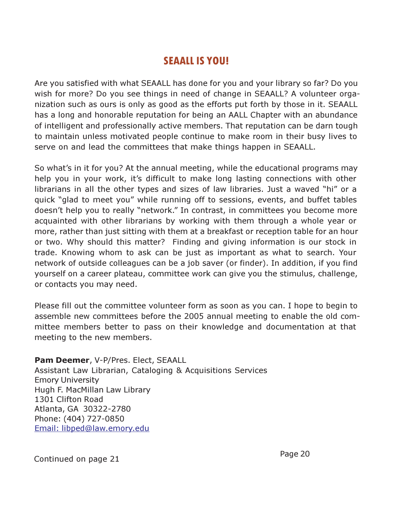# SEAALL IS YOU!

<span id="page-19-0"></span>Are you satisfied with what SEAALL has done for you and your library so far? Do you wish for more? Do you see things in need of change in SEAALL? A volunteer organization such as ours is only as good as the efforts put forth by those in it. SEAALL has a long and honorable reputation for being an AALL Chapter with an abundance of intelligent and professionally active members. That reputation can be darn tough to maintain unless motivated people continue to make room in their busy lives to serve on and lead the committees that make things happen in SEAALL.

So what's in it for you? At the annual meeting, while the educational programs may help you in your work, it's difficult to make long lasting connections with other librarians in all the other types and sizes of law libraries. Just a waved "hi" or a quick "glad to meet you" while running off to sessions, events, and buffet tables doesn't help you to really "network." In contrast, in committees you become more acquainted with other librarians by working with them through a whole year or more, rather than just sitting with them at a breakfast or reception table for an hour or two. Why should this matter? Finding and giving information is our stock in trade. Knowing whom to ask can be just as important as what to search. Your network of outside colleagues can be a job saver (or finder). In addition, if you find yourself on a career plateau, committee work can give you the stimulus, challenge, or contacts you may need.

Please fill out the committee volunteer form as soon as you can. I hope to begin to assemble new committees before the 2005 annual meeting to enable the old committee members better to pass on their knowledge and documentation at that meeting to the new members.

Pam Deemer, V-P/Pres. Elect, SEAALL Assistant Law Librarian, Cataloging & Acquisitions Services Emory University Hugh F. MacMillan Law Library 1301 Clifton Road Atlanta, GA 30322-2780 Phone: (404) 727-0850 [Email: libped@law.emory.edu](mailto:libped@law.emory.edu) 

Page 20 Continued on page 21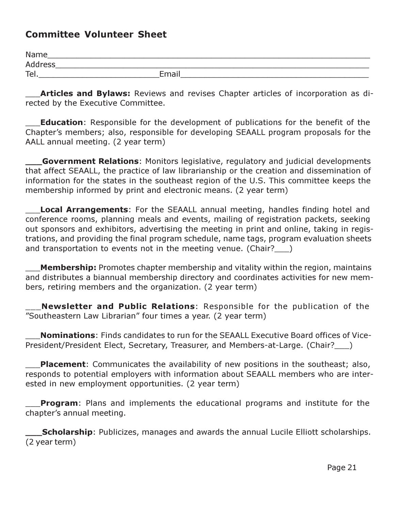# Committee Volunteer Sheet

| Name           |       |
|----------------|-------|
| <b>Address</b> |       |
| Tel.           | Email |

Articles and Bylaws: Reviews and revises Chapter articles of incorporation as directed by the Executive Committee.

**Education**: Responsible for the development of publications for the benefit of the Chapter's members; also, responsible for developing SEAALL program proposals for the AALL annual meeting. (2 year term)

Government Relations: Monitors legislative, regulatory and judicial developments that affect SEAALL, the practice of law librarianship or the creation and dissemination of information for the states in the southeast region of the U.S. This committee keeps the membership informed by print and electronic means. (2 year term)

**Local Arrangements:** For the SEAALL annual meeting, handles finding hotel and conference rooms, planning meals and events, mailing of registration packets, seeking out sponsors and exhibitors, advertising the meeting in print and online, taking in registrations, and providing the final program schedule, name tags, program evaluation sheets and transportation to events not in the meeting venue. (Chair?\_\_\_)

**Membership:** Promotes chapter membership and vitality within the region, maintains and distributes a biannual membership directory and coordinates activities for new members, retiring members and the organization. (2 year term)

Newsletter and Public Relations: Responsible for the publication of the "Southeastern Law Librarian" four times a year. (2 year term)

**Nominations:** Finds candidates to run for the SEAALL Executive Board offices of Vice-President/President Elect, Secretary, Treasurer, and Members-at-Large. (Chair?)

**Placement**: Communicates the availability of new positions in the southeast; also, responds to potential employers with information about SEAALL members who are interested in new employment opportunities. (2 year term)

**Program**: Plans and implements the educational programs and institute for the chapter's annual meeting.

**Scholarship**: Publicizes, manages and awards the annual Lucile Elliott scholarships. (2 year term)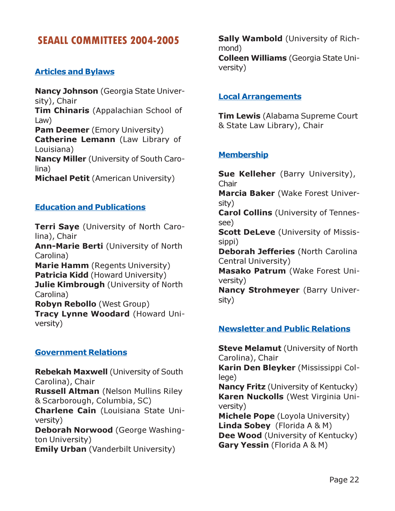# <span id="page-21-0"></span>SEAALL COMMITTEES 2004-2005

#### Articles and Bylaws

Nancy Johnson (Georgia State University), Chair **Tim Chinaris** (Appalachian School of Law) **Pam Deemer** (Emory University) Catherine Lemann (Law Library of Louisiana) Nancy Miller (University of South Carolina) **Michael Petit** (American University)

#### Education and Publications

**Terri Saye** (University of North Carolina), Chair Ann-Marie Berti (University of North Carolina) Marie Hamm (Regents University) Patricia Kidd (Howard University) Julie Kimbrough (University of North Carolina) Robyn Rebollo (West Group) Tracy Lynne Woodard (Howard University)

#### Government Relations

Rebekah Maxwell (University of South Carolina), Chair Russell Altman (Nelson Mullins Riley & Scarborough, Columbia, SC) Charlene Cain (Louisiana State University) Deborah Norwood (George Washington University) **Emily Urban** (Vanderbilt University)

Sally Wambold (University of Richmond) Colleen Williams (Georgia State University)

#### Local Arrangements

**Tim Lewis** (Alabama Supreme Court & State Law Library), Chair

## **Membership**

Sue Kelleher (Barry University), **Chair** Marcia Baker (Wake Forest University)

Carol Collins (University of Tennessee)

**Scott DeLeve** (University of Mississippi)

Deborah Jefferies (North Carolina Central University)

Masako Patrum (Wake Forest University)

Nancy Strohmeyer (Barry University)

#### Newsletter and Public Relations

**Steve Melamut** (University of North Carolina), Chair Karin Den Bleyker (Mississippi College) Nancy Fritz (University of Kentucky) Karen Nuckolls (West Virginia University)

Michele Pope (Loyola University) Linda Sobey (Florida A & M) Dee Wood (University of Kentucky) Gary Yessin (Florida A & M)